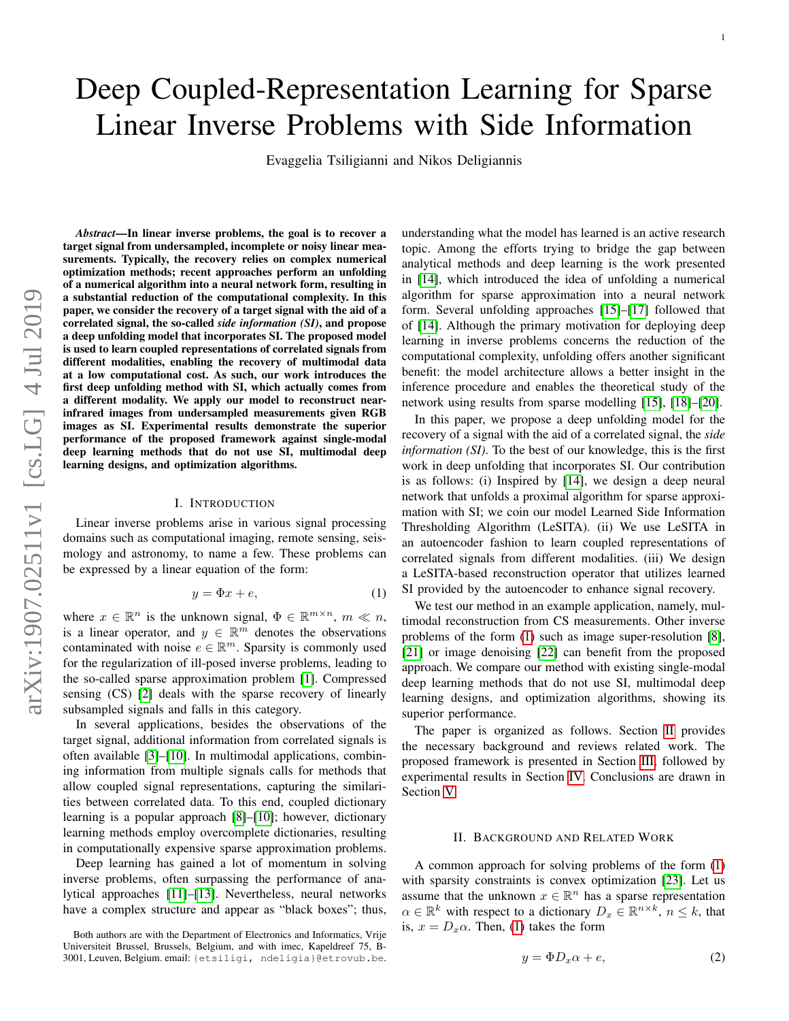# Deep Coupled-Representation Learning for Sparse Linear Inverse Problems with Side Information

Evaggelia Tsiligianni and Nikos Deligiannis

*Abstract*—In linear inverse problems, the goal is to recover a target signal from undersampled, incomplete or noisy linear measurements. Typically, the recovery relies on complex numerical optimization methods; recent approaches perform an unfolding of a numerical algorithm into a neural network form, resulting in a substantial reduction of the computational complexity. In this paper, we consider the recovery of a target signal with the aid of a correlated signal, the so-called *side information (SI)*, and propose a deep unfolding model that incorporates SI. The proposed model is used to learn coupled representations of correlated signals from different modalities, enabling the recovery of multimodal data at a low computational cost. As such, our work introduces the first deep unfolding method with SI, which actually comes from a different modality. We apply our model to reconstruct nearinfrared images from undersampled measurements given RGB images as SI. Experimental results demonstrate the superior performance of the proposed framework against single-modal deep learning methods that do not use SI, multimodal deep learning designs, and optimization algorithms.

## I. INTRODUCTION

Linear inverse problems arise in various signal processing domains such as computational imaging, remote sensing, seismology and astronomy, to name a few. These problems can be expressed by a linear equation of the form:

<span id="page-0-0"></span>
$$
y = \Phi x + e,\tag{1}
$$

where  $x \in \mathbb{R}^n$  is the unknown signal,  $\Phi \in \mathbb{R}^{m \times n}$ ,  $m \ll n$ , is a linear operator, and  $y \in \mathbb{R}^m$  denotes the observations contaminated with noise  $e \in \mathbb{R}^m$ . Sparsity is commonly used for the regularization of ill-posed inverse problems, leading to the so-called sparse approximation problem [\[1\]](#page-4-0). Compressed sensing (CS) [\[2\]](#page-4-1) deals with the sparse recovery of linearly subsampled signals and falls in this category.

In several applications, besides the observations of the target signal, additional information from correlated signals is often available [\[3\]](#page-4-2)–[\[10\]](#page-4-3). In multimodal applications, combining information from multiple signals calls for methods that allow coupled signal representations, capturing the similarities between correlated data. To this end, coupled dictionary learning is a popular approach [\[8\]](#page-4-4)–[\[10\]](#page-4-3); however, dictionary learning methods employ overcomplete dictionaries, resulting in computationally expensive sparse approximation problems.

Deep learning has gained a lot of momentum in solving inverse problems, often surpassing the performance of analytical approaches [\[11\]](#page-4-5)–[\[13\]](#page-5-0). Nevertheless, neural networks have a complex structure and appear as "black boxes"; thus, understanding what the model has learned is an active research topic. Among the efforts trying to bridge the gap between analytical methods and deep learning is the work presented in [\[14\]](#page-5-1), which introduced the idea of unfolding a numerical algorithm for sparse approximation into a neural network form. Several unfolding approaches [\[15\]](#page-5-2)–[\[17\]](#page-5-3) followed that of [\[14\]](#page-5-1). Although the primary motivation for deploying deep learning in inverse problems concerns the reduction of the computational complexity, unfolding offers another significant benefit: the model architecture allows a better insight in the inference procedure and enables the theoretical study of the network using results from sparse modelling [\[15\]](#page-5-2), [\[18\]](#page-5-4)–[\[20\]](#page-5-5).

In this paper, we propose a deep unfolding model for the recovery of a signal with the aid of a correlated signal, the *side information (SI)*. To the best of our knowledge, this is the first work in deep unfolding that incorporates SI. Our contribution is as follows: (i) Inspired by [\[14\]](#page-5-1), we design a deep neural network that unfolds a proximal algorithm for sparse approximation with SI; we coin our model Learned Side Information Thresholding Algorithm (LeSITA). (ii) We use LeSITA in an autoencoder fashion to learn coupled representations of correlated signals from different modalities. (iii) We design a LeSITA-based reconstruction operator that utilizes learned SI provided by the autoencoder to enhance signal recovery.

We test our method in an example application, namely, multimodal reconstruction from CS measurements. Other inverse problems of the form [\(1\)](#page-0-0) such as image super-resolution [\[8\]](#page-4-4), [\[21\]](#page-5-6) or image denoising [\[22\]](#page-5-7) can benefit from the proposed approach. We compare our method with existing single-modal deep learning methods that do not use SI, multimodal deep learning designs, and optimization algorithms, showing its superior performance.

The paper is organized as follows. Section [II](#page-0-1) provides the necessary background and reviews related work. The proposed framework is presented in Section [III,](#page-1-0) followed by experimental results in Section [IV.](#page-2-0) Conclusions are drawn in Section [V.](#page-3-0)

# II. BACKGROUND AND RELATED WORK

<span id="page-0-1"></span>A common approach for solving problems of the form [\(1\)](#page-0-0) with sparsity constraints is convex optimization [\[23\]](#page-5-8). Let us assume that the unknown  $x \in \mathbb{R}^n$  has a sparse representation  $\alpha \in \mathbb{R}^k$  with respect to a dictionary  $D_x \in \mathbb{R}^{n \times k}$ ,  $n \leq k$ , that is,  $x = D_x \alpha$ . Then, [\(1\)](#page-0-0) takes the form

$$
y = \Phi D_x \alpha + e,\tag{2}
$$

Both authors are with the Department of Electronics and Informatics, Vrije Universiteit Brussel, Brussels, Belgium, and with imec, Kapeldreef 75, B-3001, Leuven, Belgium. email: {etsiligi, ndeligia}@etrovub.be.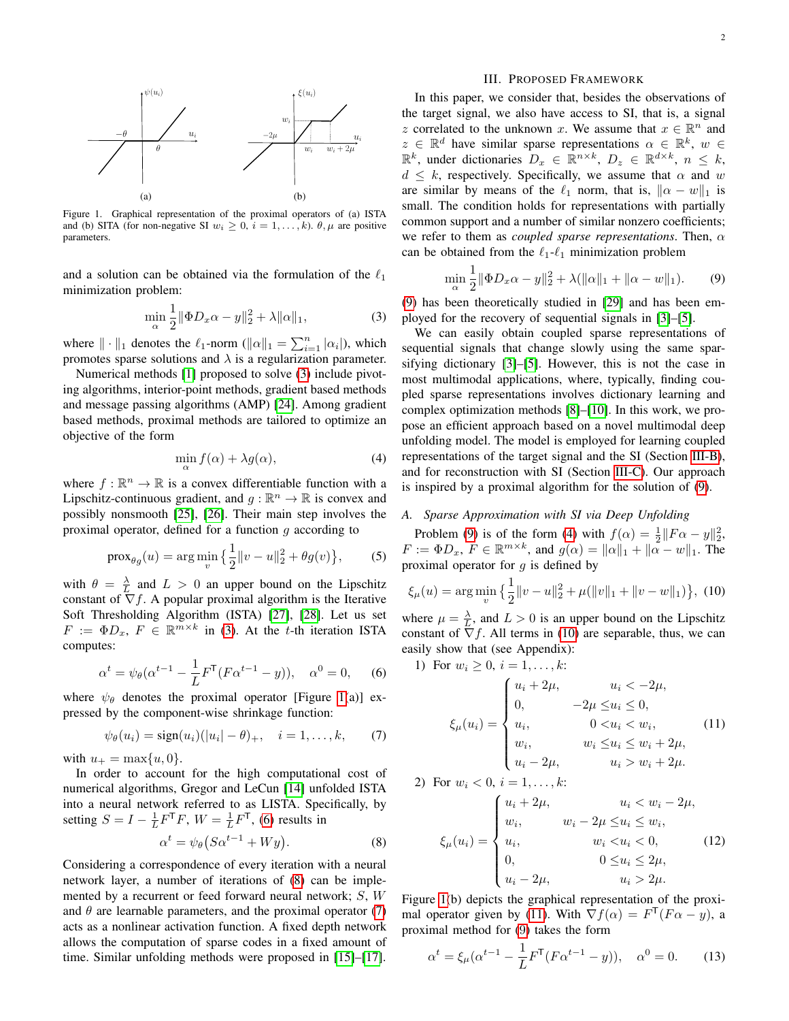

<span id="page-1-2"></span>Figure 1. Graphical representation of the proximal operators of (a) ISTA and (b) SITA (for non-negative SI  $w_i \geq 0$ ,  $i = 1, ..., k$ ).  $\theta, \mu$  are positive parameters.

and a solution can be obtained via the formulation of the  $\ell_1$ minimization problem:

<span id="page-1-1"></span>
$$
\min_{\alpha} \frac{1}{2} \|\Phi D_x \alpha - y\|_2^2 + \lambda \|\alpha\|_1,\tag{3}
$$

where  $\|\cdot\|_1$  denotes the  $\ell_1$ -norm  $(\|\alpha\|_1 = \sum_{i=1}^n |\alpha_i|)$ , which promotes sparse solutions and  $\lambda$  is a regularization parameter.

Numerical methods [\[1\]](#page-4-0) proposed to solve [\(3\)](#page-1-1) include pivoting algorithms, interior-point methods, gradient based methods and message passing algorithms (AMP) [\[24\]](#page-5-9). Among gradient based methods, proximal methods are tailored to optimize an objective of the form

<span id="page-1-7"></span>
$$
\min_{\alpha} f(\alpha) + \lambda g(\alpha), \tag{4}
$$

where  $f : \mathbb{R}^n \to \mathbb{R}$  is a convex differentiable function with a Lipschitz-continuous gradient, and  $g : \mathbb{R}^n \to \mathbb{R}$  is convex and possibly nonsmooth [\[25\]](#page-5-10), [\[26\]](#page-5-11). Their main step involves the proximal operator, defined for a function  $g$  according to

$$
\text{prox}_{\theta g}(u) = \arg\min_{v} \left\{ \frac{1}{2} ||v - u||_2^2 + \theta g(v) \right\},\tag{5}
$$

with  $\theta = \frac{\lambda}{L}$  and  $L > 0$  an upper bound on the Lipschitz constant of  $\nabla f$ . A popular proximal algorithm is the Iterative Soft Thresholding Algorithm (ISTA) [\[27\]](#page-5-12), [\[28\]](#page-5-13). Let us set  $F := \Phi D_x, F \in \mathbb{R}^{m \times k}$  in [\(3\)](#page-1-1). At the t-th iteration ISTA computes:

<span id="page-1-3"></span>
$$
\alpha^{t} = \psi_{\theta}(\alpha^{t-1} - \frac{1}{L}F^{\mathsf{T}}(F\alpha^{t-1} - y)), \quad \alpha^{0} = 0, \quad (6)
$$

where  $\psi_{\theta}$  denotes the proximal operator [Figure [1\(](#page-1-2)a)] expressed by the component-wise shrinkage function:

<span id="page-1-5"></span>
$$
\psi_{\theta}(u_i) = sign(u_i)(|u_i| - \theta)_{+}, \quad i = 1, ..., k,
$$
 (7)

with  $u_{+} = \max\{u, 0\}.$ 

In order to account for the high computational cost of numerical algorithms, Gregor and LeCun [\[14\]](#page-5-1) unfolded ISTA into a neural network referred to as LISTA. Specifically, by setting  $S = I - \frac{1}{L} F^{T} F$ ,  $W = \frac{1}{L} F^{T}$ , [\(6\)](#page-1-3) results in

<span id="page-1-4"></span>
$$
\alpha^t = \psi_\theta \big( S \alpha^{t-1} + W y \big). \tag{8}
$$

Considering a correspondence of every iteration with a neural network layer, a number of iterations of [\(8\)](#page-1-4) can be implemented by a recurrent or feed forward neural network; S, W and  $\theta$  are learnable parameters, and the proximal operator [\(7\)](#page-1-5) acts as a nonlinear activation function. A fixed depth network allows the computation of sparse codes in a fixed amount of time. Similar unfolding methods were proposed in [\[15\]](#page-5-2)–[\[17\]](#page-5-3).

## <span id="page-1-0"></span>1 1 III. PROPOSED FRAMEWORK

 $\int^{\xi(u_i)}$  In this paper, we consider that, besides the observations of  $\overline{\phantom{a}}$  the target signal  $\sum_{u_i}$  z correlated to the unknown x. We assume that  $x \in \mathbb{R}^n$  and  $\mathcal{L}$  the target signal, we also have access to SI, that is, a signal  $z \in \mathbb{R}^d$  have similar sparse representations  $\alpha \in \mathbb{R}^k$ ,  $w \in$  $\mathbb{R}^k$ , under dictionaries  $D_x \in \mathbb{R}^{n \times k}$ ,  $D_z \in \mathbb{R}^{d \times k}$ ,  $n \leq k$ ,  $d \leq k$ , respectively. Specifically, we assume that  $\alpha$  and w are similar by means of the  $\ell_1$  norm, that is,  $\|\alpha - w\|_1$  is small. The condition holds for representations with partially common support and a number of similar nonzero coefficients; we refer to them as *coupled sparse representations*. Then,  $\alpha$ can be obtained from the  $\ell_1$ - $\ell_1$  minimization problem

<span id="page-1-6"></span>
$$
\min_{\alpha} \frac{1}{2} \|\Phi D_x \alpha - y\|_2^2 + \lambda (\|\alpha\|_1 + \|\alpha - w\|_1). \tag{9}
$$

[\(9\)](#page-1-6) has been theoretically studied in [\[29\]](#page-5-14) and has been employed for the recovery of sequential signals in [\[3\]](#page-4-2)–[\[5\]](#page-4-6).

We can easily obtain coupled sparse representations of sequential signals that change slowly using the same sparsifying dictionary [\[3\]](#page-4-2)–[\[5\]](#page-4-6). However, this is not the case in most multimodal applications, where, typically, finding coupled sparse representations involves dictionary learning and complex optimization methods [\[8\]](#page-4-4)–[\[10\]](#page-4-3). In this work, we propose an efficient approach based on a novel multimodal deep unfolding model. The model is employed for learning coupled representations of the target signal and the SI (Section [III-B\)](#page-2-1), and for reconstruction with SI (Section [III-C\)](#page-2-2). Our approach is inspired by a proximal algorithm for the solution of [\(9\)](#page-1-6).

# *A. Sparse Approximation with SI via Deep Unfolding*

Problem [\(9\)](#page-1-6) is of the form [\(4\)](#page-1-7) with  $f(\alpha) = \frac{1}{2} || F \alpha - y ||_2^2$ ,  $F := \Phi D_x, F \in \mathbb{R}^{m \times k}$ , and  $g(\alpha) = ||\alpha||_1 + ||\alpha - w||_1$ . The proximal operator for  $q$  is defined by

<span id="page-1-8"></span>
$$
\xi_{\mu}(u) = \arg\min_{v} \left\{ \frac{1}{2} \|v - u\|_{2}^{2} + \mu(\|v\|_{1} + \|v - w\|_{1}) \right\}, (10)
$$

where  $\mu = \frac{\lambda}{L}$ , and  $L > 0$  is an upper bound on the Lipschitz constant of  $\nabla f$ . All terms in [\(10\)](#page-1-8) are separable, thus, we can easily show that (see Appendix):

1) For 
$$
w_i \ge 0
$$
,  $i = 1, ..., k$ :

<span id="page-1-9"></span>
$$
\xi_{\mu}(u_i) = \begin{cases} u_i + 2\mu, & u_i < -2\mu, \\ 0, & -2\mu \le u_i \le 0, \\ u_i, & 0 < u_i < w_i, \\ w_i, & w_i \le u_i \le w_i + 2\mu, \\ u_i - 2\mu, & u_i > w_i + 2\mu. \end{cases}
$$
(11)

2) For 
$$
w_i < 0, \, i = 1, \ldots, k
$$
:

<span id="page-1-11"></span>
$$
\xi_{\mu}(u_i) = \begin{cases}\nu_i + 2\mu, & u_i < w_i - 2\mu, \\
w_i, & w_i - 2\mu \le u_i \le w_i, \\
u_i, & w_i < u_i < 0, \\
0, & 0 \le u_i \le 2\mu, \\
u_i - 2\mu, & u_i > 2\mu.\n\end{cases}
$$
\n(12)

Figure [1\(](#page-1-2)b) depicts the graphical representation of the proxi-mal operator given by [\(11\)](#page-1-9). With  $\nabla f(\alpha) = F^{\mathsf{T}}(F\alpha - y)$ , a proximal method for ([9](#page-1-6)) takes the form

<span id="page-1-10"></span>
$$
\alpha^{t} = \xi_{\mu}(\alpha^{t-1} - \frac{1}{L}F^{\mathsf{T}}(F\alpha^{t-1} - y)), \quad \alpha^{0} = 0. \tag{13}
$$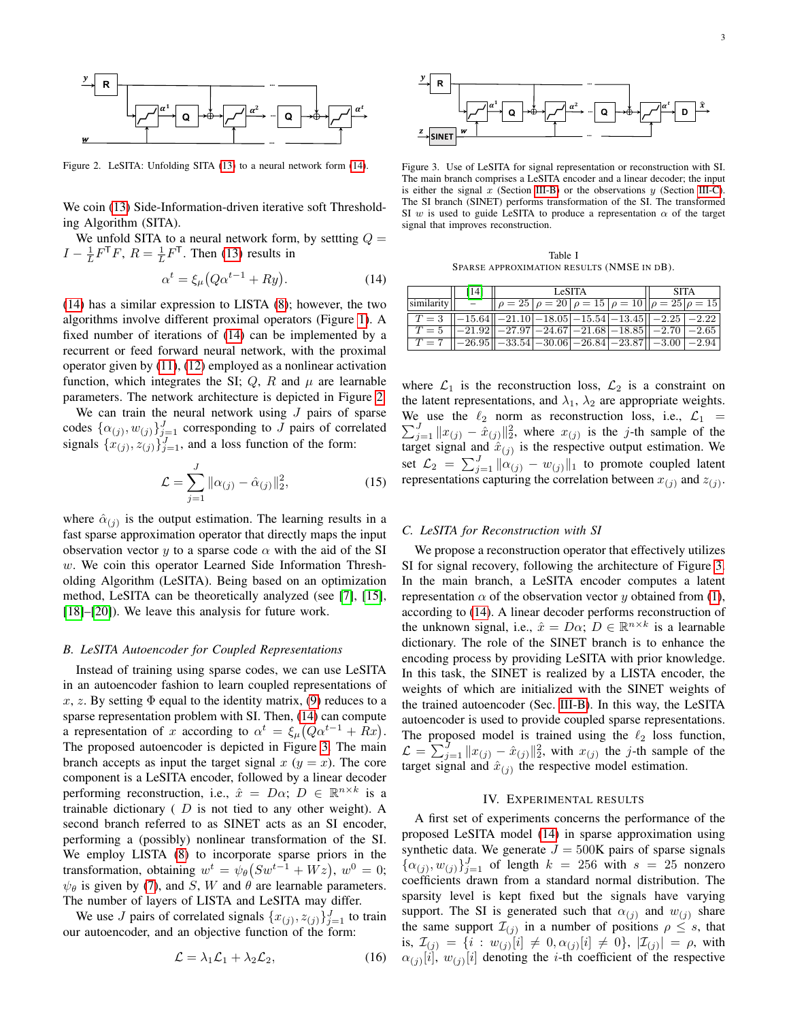

<span id="page-2-4"></span>Figure 2. LeSITA: Unfolding SITA [\(13\)](#page-1-10) to a neural network form [\(14\)](#page-2-3).

We coin [\(13\)](#page-1-10) Side-Information-driven iterative soft Thresholding Algorithm (SITA).

We unfold SITA to a neural network form, by settling  $Q =$  $I - \frac{1}{L} F^{T} F$ ,  $R = \frac{1}{L} F^{T}$ . Then [\(13\)](#page-1-10) results in

<span id="page-2-3"></span>
$$
\alpha^t = \xi_\mu \big( Q \alpha^{t-1} + R y \big). \tag{14}
$$

[\(14\)](#page-2-3) has a similar expression to LISTA [\(8\)](#page-1-4); however, the two algorithms involve different proximal operators (Figure [1\)](#page-1-2). A fixed number of iterations of [\(14\)](#page-2-3) can be implemented by a recurrent or feed forward neural network, with the proximal operator given by [\(11\)](#page-1-9), [\(12\)](#page-1-11) employed as a nonlinear activation function, which integrates the SI;  $Q$ ,  $R$  and  $\mu$  are learnable parameters. The network architecture is depicted in Figure [2.](#page-2-4)

We can train the neural network using  $J$  pairs of sparse codes  $\{\alpha_{(j)}, w_{(j)}\}_{j=1}^{J}$  corresponding to J pairs of correlated signals  $\{x_{(j)}, z_{(j)}\}_{j=1}^J$ , and a loss function of the form:

$$
\mathcal{L} = \sum_{j=1}^{J} \|\alpha_{(j)} - \hat{\alpha}_{(j)}\|_{2}^{2},
$$
\n(15)

where  $\hat{\alpha}_{(j)}$  is the output estimation. The learning results in a fast sparse approximation operator that directly maps the input observation vector y to a sparse code  $\alpha$  with the aid of the SI w. We coin this operator Learned Side Information Thresholding Algorithm (LeSITA). Being based on an optimization method, LeSITA can be theoretically analyzed (see [\[7\]](#page-4-7), [\[15\]](#page-5-2), [\[18\]](#page-5-4)–[\[20\]](#page-5-5)). We leave this analysis for future work.

#### <span id="page-2-1"></span>*B. LeSITA Autoencoder for Coupled Representations*

Instead of training using sparse codes, we can use LeSITA in an autoencoder fashion to learn coupled representations of x, z. By setting  $\Phi$  equal to the identity matrix, [\(9\)](#page-1-6) reduces to a sparse representation problem with SI. Then, [\(14\)](#page-2-3) can compute a representation of x according to  $\alpha^t = \xi_\mu (Q \alpha^{t-1} + Rx)$ . The proposed autoencoder is depicted in Figure [3.](#page-2-5) The main branch accepts as input the target signal  $x (y = x)$ . The core component is a LeSITA encoder, followed by a linear decoder performing reconstruction, i.e.,  $\hat{x} = D\alpha$ ;  $D \in \mathbb{R}^{n \times k}$  is a trainable dictionary  $(D \text{ is not tied to any other weight}).$  A second branch referred to as SINET acts as an SI encoder, performing a (possibly) nonlinear transformation of the SI. We employ LISTA [\(8\)](#page-1-4) to incorporate sparse priors in the transformation, obtaining  $w^t = \psi_\theta(Sw^{t-1} + Wz)$ ,  $w^0 = 0$ ;  $\psi_{\theta}$  is given by [\(7\)](#page-1-5), and S, W and  $\theta$  are learnable parameters. The number of layers of LISTA and LeSITA may differ.

We use J pairs of correlated signals  $\{x_{(j)}, z_{(j)}\}_{j=1}^J$  to train our autoencoder, and an objective function of the form:

<span id="page-2-7"></span>
$$
\mathcal{L} = \lambda_1 \mathcal{L}_1 + \lambda_2 \mathcal{L}_2, \tag{16}
$$



<span id="page-2-5"></span>Figure 3. Use of LeSITA for signal representation or reconstruction with SI. The main branch comprises a LeSITA encoder and a linear decoder; the input is either the signal  $x$  (Section [III-B\)](#page-2-1) or the observations  $y$  (Section [III-C\)](#page-2-2). The SI branch (SINET) performs transformation of the SI. The transformed SI w is used to guide LeSITA to produce a representation  $\alpha$  of the target signal that improves reconstruction.

Table I SPARSE APPROXIMATION RESULTS (NMSE IN DB).

<span id="page-2-6"></span>

|                                                                                | [14] |                                                            | LeSITA | <b>SITA</b> |  |  |
|--------------------------------------------------------------------------------|------|------------------------------------------------------------|--------|-------------|--|--|
| $ \text{similarity} $ $-$                                                      |      | $\ \rho=25\ \rho=20\ \rho=15\ \rho=10\ \rho=25\ \rho=15\ $ |        |             |  |  |
| $T = 3$ $ -15.64  -21.10 -18.05 -15.54 -13.45  -2.25 -2.22 $                   |      |                                                            |        |             |  |  |
| $T = 5$ $ -21.92  -27.97 -24.67 -21.68 -18.85  -2.70 -2.65 $                   |      |                                                            |        |             |  |  |
| $T = 7$ $ -26.95 $ $ -33.54 $ $-30.06 $ $-26.84 $ $-23.87 $ $ -3.00 $ $-2.94 $ |      |                                                            |        |             |  |  |

where  $\mathcal{L}_1$  is the reconstruction loss,  $\mathcal{L}_2$  is a constraint on the latent representations, and  $\lambda_1$ ,  $\lambda_2$  are appropriate weights.  $\sum_{j=1}^{J} ||x_{(j)} - \hat{x}_{(j)}||_2^2$ , where  $x_{(j)}$  is the j-th sample of the We use the  $\ell_2$  norm as reconstruction loss, i.e.,  $\mathcal{L}_1$  = target signal and  $\hat{x}_{(j)}$  is the respective output estimation. We set  $\mathcal{L}_2 = \sum_{j=1}^J \|\alpha_{(j)} - w_{(j)}\|_1$  to promote coupled latent representations capturing the correlation between  $x_{(j)}$  and  $z_{(j)}$ .

# <span id="page-2-2"></span>*C. LeSITA for Reconstruction with SI*

We propose a reconstruction operator that effectively utilizes SI for signal recovery, following the architecture of Figure [3.](#page-2-5) In the main branch, a LeSITA encoder computes a latent representation  $\alpha$  of the observation vector y obtained from [\(1\)](#page-0-0), according to [\(14\)](#page-2-3). A linear decoder performs reconstruction of the unknown signal, i.e.,  $\hat{x} = D\alpha$ ;  $D \in \mathbb{R}^{n \times k}$  is a learnable dictionary. The role of the SINET branch is to enhance the encoding process by providing LeSITA with prior knowledge. In this task, the SINET is realized by a LISTA encoder, the weights of which are initialized with the SINET weights of the trained autoencoder (Sec. [III-B\)](#page-2-1). In this way, the LeSITA autoencoder is used to provide coupled sparse representations. The proposed model is trained using the  $\ell_2$  loss function,  $\mathcal{L} = \sum_{j=1}^{J} ||x_{(j)} - \hat{x}_{(j)}||_2^2$ , with  $x_{(j)}$  the j-th sample of the target signal and  $\hat{x}_{(j)}$  the respective model estimation.

## IV. EXPERIMENTAL RESULTS

<span id="page-2-0"></span>A first set of experiments concerns the performance of the proposed LeSITA model [\(14\)](#page-2-3) in sparse approximation using synthetic data. We generate  $J = 500$ K pairs of sparse signals  $\{\alpha_{(j)}, w_{(j)}\}_{j=1}^J$  of length  $k = 256$  with  $s = 25$  nonzero coefficients drawn from a standard normal distribution. The sparsity level is kept fixed but the signals have varying support. The SI is generated such that  $\alpha_{(j)}$  and  $w_{(j)}$  share the same support  $\mathcal{I}_{(j)}$  in a number of positions  $\rho \leq s$ , that is,  $\mathcal{I}_{(j)} = \{i : w_{(j)}[i] \neq 0, \alpha_{(j)}[i] \neq 0\}$ ,  $|\mathcal{I}_{(j)}| = \rho$ , with  $\alpha_{(j)}[i], w_{(j)}[i]$  denoting the *i*-th coefficient of the respective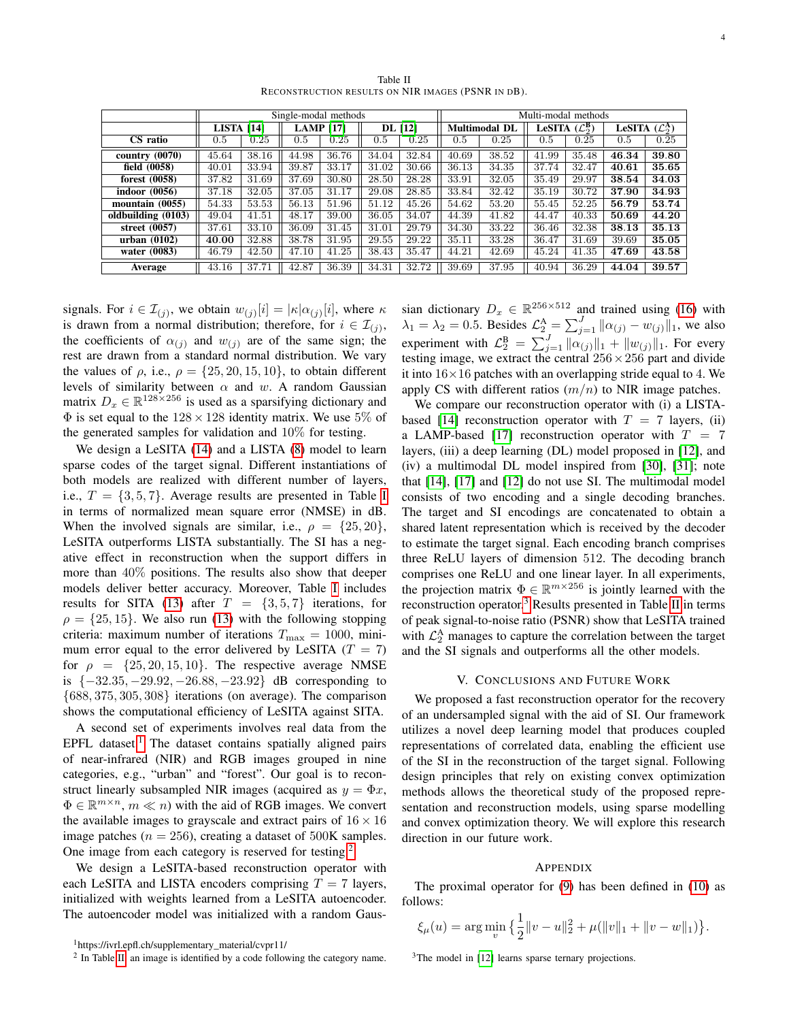Table II RECONSTRUCTION RESULTS ON NIR IMAGES (PSNR IN DB).

<span id="page-3-3"></span>

|                    | Single-modal methods |       |                  |       |           |       |                      | Multi-modal methods |                            |       |                                       |       |  |  |
|--------------------|----------------------|-------|------------------|-------|-----------|-------|----------------------|---------------------|----------------------------|-------|---------------------------------------|-------|--|--|
|                    | LISTA [14]           |       | <b>LAMP</b> [17] |       | DL [12]   |       | <b>Multimodal DL</b> |                     | LeSITA $(\mathcal{L}_2^B)$ |       | LeSITA $(\mathcal{L}_2^{\mathbf{A}})$ |       |  |  |
| CS ratio           | 0.5                  | 0.25  | 0.5              | 0.25  | $\rm 0.5$ | 0.25  | 0.5                  | 0.25                | 0.5                        | 0.25  | 0.5                                   | 0.25  |  |  |
| country(0070)      | 45.64                | 38.16 | 44.98            | 36.76 | 34.04     | 32.84 | 40.69                | 38.52               | 41.99                      | 35.48 | 46.34                                 | 39.80 |  |  |
| field $(0058)$     | 40.01                | 33.94 | 39.87            | 33.17 | 31.02     | 30.66 | 36.13                | 34.35               | 37.74                      | 32.47 | 40.61                                 | 35.65 |  |  |
| forest $(0058)$    | 37.82                | 31.69 | 37.69            | 30.80 | 28.50     | 28.28 | 33.91                | 32.05               | 35.49                      | 29.97 | 38.54                                 | 34.03 |  |  |
| indoor (0056)      | 37.18                | 32.05 | 37.05            | 31.17 | 29.08     | 28.85 | 33.84                | 32.42               | 35.19                      | 30.72 | 37.90                                 | 34.93 |  |  |
| mountain $(0055)$  | 54.33                | 53.53 | 56.13            | 51.96 | 51.12     | 45.26 | 54.62                | 53.20               | 55.45                      | 52.25 | 56.79                                 | 53.74 |  |  |
| oldbuilding (0103) | 49.04                | 41.51 | 48.17            | 39.00 | 36.05     | 34.07 | 44.39                | 41.82               | 44.47                      | 40.33 | 50.69                                 | 44.20 |  |  |
| street $(0057)$    | 37.61                | 33.10 | 36.09            | 31.45 | 31.01     | 29.79 | 34.30                | 33.22               | 36.46                      | 32.38 | 38.13                                 | 35.13 |  |  |
| urban $(0102)$     | 40.00                | 32.88 | 38.78            | 31.95 | 29.55     | 29.22 | 35.11                | 33.28               | 36.47                      | 31.69 | 39.69                                 | 35.05 |  |  |
| water (0083)       | 46.79                | 42.50 | 47.10            | 41.25 | 38.43     | 35.47 | 44.21                | 42.69               | 45.24                      | 41.35 | 47.69                                 | 43.58 |  |  |
| Average            | 43.16                | 37.71 | 42.87            | 36.39 | 34.31     | 32.72 | 39.69                | 37.95               | 40.94                      | 36.29 | 44.04                                 | 39.57 |  |  |

signals. For  $i \in \mathcal{I}_{(j)}$ , we obtain  $w_{(j)}[i] = |\kappa| \alpha_{(j)}[i]$ , where  $\kappa$ is drawn from a normal distribution; therefore, for  $i \in \mathcal{I}_{(j)}$ , the coefficients of  $\alpha_{(i)}$  and  $w_{(i)}$  are of the same sign; the rest are drawn from a standard normal distribution. We vary the values of  $\rho$ , i.e.,  $\rho = \{25, 20, 15, 10\}$ , to obtain different levels of similarity between  $\alpha$  and w. A random Gaussian matrix  $D_x \in \mathbb{R}^{128 \times 256}$  is used as a sparsifying dictionary and  $\Phi$  is set equal to the  $128 \times 128$  identity matrix. We use 5% of the generated samples for validation and 10% for testing.

We design a LeSITA [\(14\)](#page-2-3) and a LISTA [\(8\)](#page-1-4) model to learn sparse codes of the target signal. Different instantiations of both models are realized with different number of layers, i.e.,  $T = \{3, 5, 7\}$ . Average results are presented in Table [I](#page-2-6) in terms of normalized mean square error (NMSE) in dB. When the involved signals are similar, i.e.,  $\rho = \{25, 20\}$ , LeSITA outperforms LISTA substantially. The SI has a negative effect in reconstruction when the support differs in more than 40% positions. The results also show that deeper models deliver better accuracy. Moreover, Table [I](#page-2-6) includes results for SITA [\(13\)](#page-1-10) after  $T = \{3, 5, 7\}$  iterations, for  $\rho = \{25, 15\}$ . We also run [\(13\)](#page-1-10) with the following stopping criteria: maximum number of iterations  $T_{\text{max}} = 1000$ , minimum error equal to the error delivered by LeSITA ( $T = 7$ ) for  $\rho = \{25, 20, 15, 10\}$ . The respective average NMSE is {−32.35, −29.92, −26.88, −23.92} dB corresponding to  $\{688, 375, 305, 308\}$  iterations (on average). The comparison shows the computational efficiency of LeSITA against SITA.

A second set of experiments involves real data from the EPFL dataset.<sup>[1](#page-3-1)</sup> The dataset contains spatially aligned pairs of near-infrared (NIR) and RGB images grouped in nine categories, e.g., "urban" and "forest". Our goal is to reconstruct linearly subsampled NIR images (acquired as  $y = \Phi x$ ,  $\Phi \in \mathbb{R}^{m \times n}$ ,  $m \ll n$ ) with the aid of RGB images. We convert the available images to grayscale and extract pairs of  $16 \times 16$ image patches ( $n = 256$ ), creating a dataset of 500K samples. One image from each category is reserved for testing.<sup>[2](#page-3-2)</sup>

We design a LeSITA-based reconstruction operator with each LeSITA and LISTA encoders comprising  $T = 7$  layers, initialized with weights learned from a LeSITA autoencoder. The autoencoder model was initialized with a random Gaus-

sian dictionary  $D_x \in \mathbb{R}^{256 \times 512}$  and trained using [\(16\)](#page-2-7) with  $\lambda_1 = \lambda_2 = 0.5$ . Besides  $\mathcal{L}_2^{\mathbf{A}} = \sum_{j=1}^{J} ||\alpha_{(j)} - w_{(j)}||_1$ , we also experiment with  $\mathcal{L}_2^B = \sum_{j=1}^J \|\alpha_{(j)}\|_1 + \|w_{(j)}\|_1$ . For every testing image, we extract the central  $256 \times 256$  part and divide it into  $16\times16$  patches with an overlapping stride equal to 4. We apply CS with different ratios  $(m/n)$  to NIR image patches.

We compare our reconstruction operator with (i) a LISTA-based [\[14\]](#page-5-1) reconstruction operator with  $T = 7$  layers, (ii) a LAMP-based [\[17\]](#page-5-3) reconstruction operator with  $T = 7$ layers, (iii) a deep learning (DL) model proposed in [\[12\]](#page-5-15), and (iv) a multimodal DL model inspired from [\[30\]](#page-5-16), [\[31\]](#page-5-17); note that [\[14\]](#page-5-1), [\[17\]](#page-5-3) and [\[12\]](#page-5-15) do not use SI. The multimodal model consists of two encoding and a single decoding branches. The target and SI encodings are concatenated to obtain a shared latent representation which is received by the decoder to estimate the target signal. Each encoding branch comprises three ReLU layers of dimension 512. The decoding branch comprises one ReLU and one linear layer. In all experiments, the projection matrix  $\Phi \in \mathbb{R}^{m \times 256}$  is jointly learned with the reconstruction operator.[3](#page-3-4) Results presented in Table [II](#page-3-3) in terms of peak signal-to-noise ratio (PSNR) show that LeSITA trained with  $\mathcal{L}_2^{\text{A}}$  manages to capture the correlation between the target and the SI signals and outperforms all the other models.

## V. CONCLUSIONS AND FUTURE WORK

<span id="page-3-0"></span>We proposed a fast reconstruction operator for the recovery of an undersampled signal with the aid of SI. Our framework utilizes a novel deep learning model that produces coupled representations of correlated data, enabling the efficient use of the SI in the reconstruction of the target signal. Following design principles that rely on existing convex optimization methods allows the theoretical study of the proposed representation and reconstruction models, using sparse modelling and convex optimization theory. We will explore this research direction in our future work.

#### APPENDIX

The proximal operator for [\(9\)](#page-1-6) has been defined in [\(10\)](#page-1-8) as follows:

$$
\xi_{\mu}(u) = \arg\min_{v} \left\{ \frac{1}{2} ||v - u||_2^2 + \mu(||v||_1 + ||v - w||_1) \right\}.
$$

<span id="page-3-1"></span><sup>1</sup>https://ivrl.epfl.ch/supplementary\_material/cvpr11/

<span id="page-3-2"></span><sup>&</sup>lt;sup>2</sup> In Table [II,](#page-3-3) an image is identified by a code following the category name.

<span id="page-3-4"></span><sup>&</sup>lt;sup>3</sup>The model in [\[12\]](#page-5-15) learns sparse ternary projections.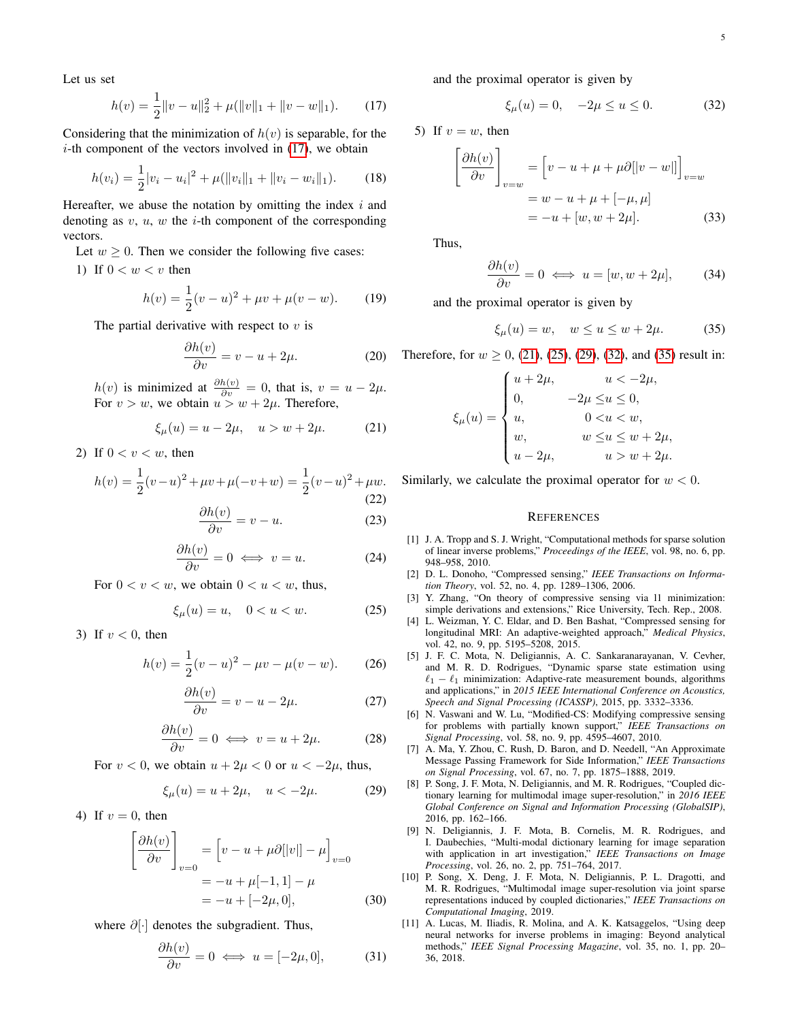Let us set

<span id="page-4-8"></span>
$$
h(v) = \frac{1}{2} ||v - u||_2^2 + \mu(||v||_1 + ||v - w||_1).
$$
 (17)

Considering that the minimization of  $h(v)$  is separable, for the  $i$ -th component of the vectors involved in  $(17)$ , we obtain

$$
h(v_i) = \frac{1}{2}|v_i - u_i|^2 + \mu(||v_i||_1 + ||v_i - w_i||_1). \tag{18}
$$

Hereafter, we abuse the notation by omitting the index  $i$  and denoting as  $v, u, w$  the *i*-th component of the corresponding vectors.

Let  $w > 0$ . Then we consider the following five cases:

1) If  $0 < w < v$  then

$$
h(v) = \frac{1}{2}(v - u)^2 + \mu v + \mu(v - w).
$$
 (19)

The partial derivative with respect to  $v$  is

$$
\frac{\partial h(v)}{\partial v} = v - u + 2\mu.
$$
 (20)

 $h(v)$  is minimized at  $\frac{\partial h(v)}{\partial v} = 0$ , that is,  $v = u - 2\mu$ . For  $v > w$ , we obtain  $u > w + 2\mu$ . Therefore,

<span id="page-4-9"></span>
$$
\xi_{\mu}(u) = u - 2\mu, \quad u > w + 2\mu.
$$
 (21)

2) If  $0 < v < w$ , then

$$
h(v) = \frac{1}{2}(v-u)^2 + \mu v + \mu(-v+w) = \frac{1}{2}(v-u)^2 + \mu w.
$$
\n(22)

$$
\frac{\partial h(v)}{\partial v} = v - u.
$$
 (23)

$$
\frac{\partial h(v)}{\partial v} = 0 \iff v = u.
$$
 (24)

For  $0 < v < w$ , we obtain  $0 < u < w$ , thus,

<span id="page-4-10"></span>
$$
\xi_{\mu}(u) = u, \quad 0 < u < w. \tag{25}
$$

3) If  $v < 0$ , then

$$
h(v) = \frac{1}{2}(v - u)^2 - \mu v - \mu(v - w).
$$
 (26)

$$
\frac{\partial h(v)}{\partial v} = v - u - 2\mu.
$$
 (27)

$$
\frac{\partial h(v)}{\partial v} = 0 \iff v = u + 2\mu. \tag{28}
$$

For  $v < 0$ , we obtain  $u + 2\mu < 0$  or  $u < -2\mu$ , thus,

<span id="page-4-11"></span>
$$
\xi_{\mu}(u) = u + 2\mu, \quad u < -2\mu. \tag{29}
$$

4) If  $v = 0$ , then

$$
\begin{bmatrix}\n\frac{\partial h(v)}{\partial v}\n\end{bmatrix}_{v=0} = \begin{bmatrix}\nv - u + \mu \partial [|v|] - \mu \end{bmatrix}_{v=0}
$$
\n
$$
= -u + \mu [-1, 1] - \mu
$$
\n
$$
= -u + [-2\mu, 0],
$$
\n(30)

where ∂[⋅] denotes the subgradient. Thus,

$$
\frac{\partial h(v)}{\partial v} = 0 \iff u = [-2\mu, 0], \tag{31}
$$

and the proximal operator is given by

<span id="page-4-12"></span>
$$
\xi_{\mu}(u) = 0, \quad -2\mu \le u \le 0.
$$
 (32)

5) If  $v = w$ , then

$$
\left[\frac{\partial h(v)}{\partial v}\right]_{v=w} = \left[v - u + \mu + \mu \partial[|v - w|]\right]_{v=w}
$$

$$
= w - u + \mu + [-\mu, \mu]
$$

$$
= -u + [w, w + 2\mu]. \tag{33}
$$

Thus,

$$
\frac{\partial h(v)}{\partial v} = 0 \iff u = [w, w + 2\mu], \quad (34)
$$

and the proximal operator is given by

<span id="page-4-13"></span>
$$
\xi_{\mu}(u) = w, \quad w \le u \le w + 2\mu. \tag{35}
$$

Therefore, for  $w \ge 0$ , [\(21\)](#page-4-9), [\(25\)](#page-4-10), [\(29\)](#page-4-11), [\(32\)](#page-4-12), and [\(35\)](#page-4-13) result in:

$$
\xi_{\mu}(u) = \begin{cases}\nu + 2\mu, & u < -2\mu, \\
0, & -2\mu \le u \le 0, \\
u, & 0 < u < w, \\
w, & w \le u \le w + 2\mu, \\
u - 2\mu, & u > w + 2\mu.\n\end{cases}
$$

Similarly, we calculate the proximal operator for  $w < 0$ .

## **REFERENCES**

- <span id="page-4-0"></span>[1] J. A. Tropp and S. J. Wright, "Computational methods for sparse solution of linear inverse problems," *Proceedings of the IEEE*, vol. 98, no. 6, pp. 948–958, 2010.
- <span id="page-4-1"></span>[2] D. L. Donoho, "Compressed sensing," *IEEE Transactions on Information Theory*, vol. 52, no. 4, pp. 1289–1306, 2006.
- <span id="page-4-2"></span>[3] Y. Zhang, "On theory of compressive sensing via l1 minimization: simple derivations and extensions," Rice University, Tech. Rep., 2008.
- [4] L. Weizman, Y. C. Eldar, and D. Ben Bashat, "Compressed sensing for longitudinal MRI: An adaptive-weighted approach," *Medical Physics*, vol. 42, no. 9, pp. 5195–5208, 2015.
- <span id="page-4-6"></span>[5] J. F. C. Mota, N. Deligiannis, A. C. Sankaranarayanan, V. Cevher, and M. R. D. Rodrigues, "Dynamic sparse state estimation using  $\ell_1 - \ell_1$  minimization: Adaptive-rate measurement bounds, algorithms and applications," in *2015 IEEE International Conference on Acoustics, Speech and Signal Processing (ICASSP)*, 2015, pp. 3332–3336.
- [6] N. Vaswani and W. Lu, "Modified-CS: Modifying compressive sensing for problems with partially known support," *IEEE Transactions on Signal Processing*, vol. 58, no. 9, pp. 4595–4607, 2010.
- <span id="page-4-7"></span>[7] A. Ma, Y. Zhou, C. Rush, D. Baron, and D. Needell, "An Approximate Message Passing Framework for Side Information," *IEEE Transactions on Signal Processing*, vol. 67, no. 7, pp. 1875–1888, 2019.
- <span id="page-4-4"></span>[8] P. Song, J. F. Mota, N. Deligiannis, and M. R. Rodrigues, "Coupled dictionary learning for multimodal image super-resolution," in *2016 IEEE Global Conference on Signal and Information Processing (GlobalSIP)*, 2016, pp. 162–166.
- [9] N. Deligiannis, J. F. Mota, B. Cornelis, M. R. Rodrigues, and I. Daubechies, "Multi-modal dictionary learning for image separation with application in art investigation," *IEEE Transactions on Image Processing*, vol. 26, no. 2, pp. 751–764, 2017.
- <span id="page-4-3"></span>[10] P. Song, X. Deng, J. F. Mota, N. Deligiannis, P. L. Dragotti, and M. R. Rodrigues, "Multimodal image super-resolution via joint sparse representations induced by coupled dictionaries," *IEEE Transactions on Computational Imaging*, 2019.
- <span id="page-4-5"></span>[11] A. Lucas, M. Iliadis, R. Molina, and A. K. Katsaggelos, "Using deep neural networks for inverse problems in imaging: Beyond analytical methods," *IEEE Signal Processing Magazine*, vol. 35, no. 1, pp. 20– 36, 2018.